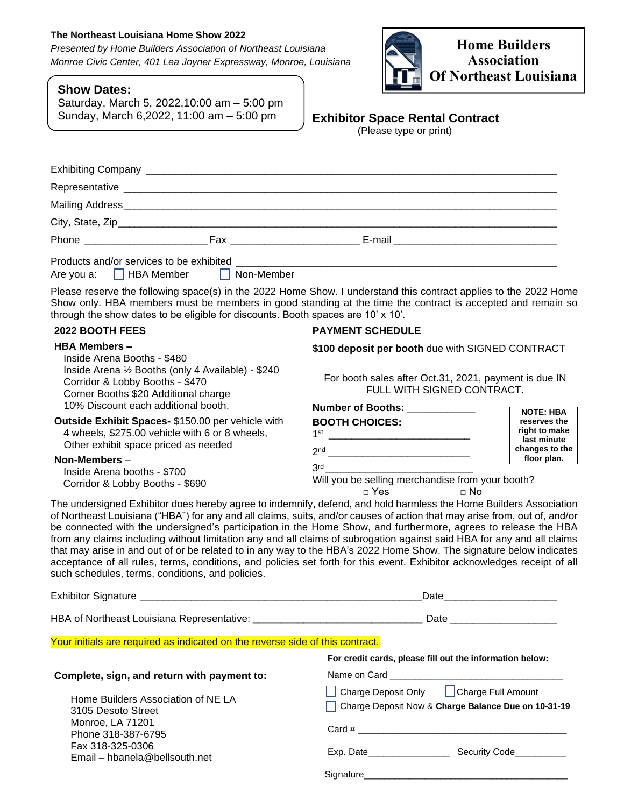# **The Northeast Louisiana Home Show 2022**

*Presented by Home Builders Association of Northeast Louisiana Monroe Civic Center, 401 Lea Joyner Expressway, Monroe, Louisiana*

| <b>Show Dates:</b> |  |
|--------------------|--|
|--------------------|--|

Saturday, March 5, 2022,10:00 am – 5:00 pm Sunday, March 6,2022, 11:00 am – 5:00 pm



# **Exhibitor Space Rental Contract**

(Please type or print)

| Phone Fax Fax                    |  |
|----------------------------------|--|
|                                  |  |
| Are you a: HBA Member Non-Member |  |

Please reserve the following space(s) in the 2022 Home Show. I understand this contract applies to the 2022 Home Show only. HBA members must be members in good standing at the time the contract is accepted and remain so through the show dates to be eligible for discounts. Booth spaces are 10' x 10'.

# **2022 BOOTH FEES**

# **HBA Members –**

Inside Arena Booths - \$480 Inside Arena ½ Booths (only 4 Available) - \$240 Corridor & Lobby Booths - \$470 Corner Booths \$20 Additional charge 10% Discount each additional booth.

# **Outside Exhibit Spaces-** \$150.00 per vehicle with 4 wheels, \$275.00 vehicle with 6 or 8 wheels, Other exhibit space priced as needed

**Non-Members** – Inside Arena booths - \$700 Corridor & Lobby Booths - \$690

# **PAYMENT SCHEDULE**

**\$100 deposit per booth** due with SIGNED CONTRACT

For booth sales after Oct.31, 2021, payment is due IN FULL WITH SIGNED CONTRACT.

| <b>Number of Booths:</b>                         | <b>NOTE: HBA</b>              |  |
|--------------------------------------------------|-------------------------------|--|
| <b>BOOTH CHOICES:</b>                            | reserves the                  |  |
| 1st                                              | right to make<br>last minute  |  |
| 2 <sub>nd</sub>                                  | changes to the<br>floor plan. |  |
| 3rd                                              |                               |  |
| Will you be selling merchandise from your booth? |                               |  |
| Yes                                              |                               |  |

The undersigned Exhibitor does hereby agree to indemnify, defend, and hold harmless the Home Builders Association of Northeast Louisiana ("HBA") for any and all claims, suits, and/or causes of action that may arise from, out of, and/or be connected with the undersigned's participation in the Home Show, and furthermore, agrees to release the HBA from any claims including without limitation any and all claims of subrogation against said HBA for any and all claims that may arise in and out of or be related to in any way to the HBA's 2022 Home Show. The signature below indicates acceptance of all rules, terms, conditions, and policies set forth for this event. Exhibitor acknowledges receipt of all such schedules, terms, conditions, and policies.

|                                                                               | Date and the contract of the contract of the contract of the contract of the contract of the contract of the contract of the contract of the contract of the contract of the contract of the contract of the contract of the c |
|-------------------------------------------------------------------------------|--------------------------------------------------------------------------------------------------------------------------------------------------------------------------------------------------------------------------------|
|                                                                               |                                                                                                                                                                                                                                |
| Your initials are required as indicated on the reverse side of this contract. |                                                                                                                                                                                                                                |
|                                                                               | For credit cards, please fill out the information below:                                                                                                                                                                       |
| Complete, sign, and return with payment to:                                   |                                                                                                                                                                                                                                |
| Home Builders Association of NE LA<br>3105 Desoto Street                      | Charge Deposit Only <b>Charge Full Amount</b><br>Charge Deposit Now & Charge Balance Due on 10-31-19                                                                                                                           |
| Monroe, LA 71201<br>Phone 318-387-6795                                        |                                                                                                                                                                                                                                |
| Fax 318-325-0306<br>Email – hbanela@bellsouth.net                             | Exp. Date Security Code                                                                                                                                                                                                        |
|                                                                               | Signature                                                                                                                                                                                                                      |